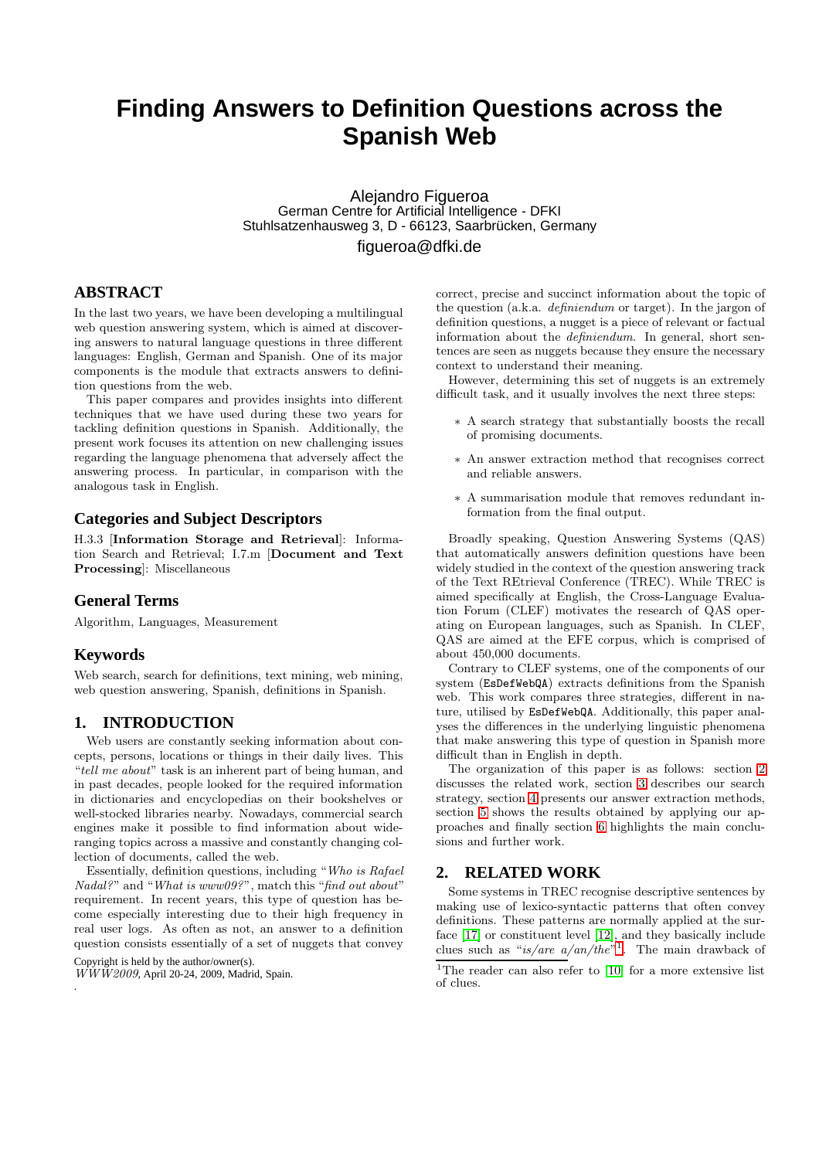# **Finding Answers to Definition Questions across the Spanish Web**

Alejandro Figueroa German Centre for Artificial Intelligence - DFKI Stuhlsatzenhausweg 3, D - 66123, Saarbrücken, Germany figueroa@dfki.de

# **ABSTRACT**

In the last two years, we have been developing a multilingual web question answering system, which is aimed at discovering answers to natural language questions in three different languages: English, German and Spanish. One of its major components is the module that extracts answers to definition questions from the web.

This paper compares and provides insights into different techniques that we have used during these two years for tackling definition questions in Spanish. Additionally, the present work focuses its attention on new challenging issues regarding the language phenomena that adversely affect the answering process. In particular, in comparison with the analogous task in English.

## **Categories and Subject Descriptors**

H.3.3 [Information Storage and Retrieval]: Information Search and Retrieval; I.7.m [Document and Text Processing]: Miscellaneous

## **General Terms**

Algorithm, Languages, Measurement

## **Keywords**

Web search, search for definitions, text mining, web mining, web question answering, Spanish, definitions in Spanish.

# **1. INTRODUCTION**

Web users are constantly seeking information about concepts, persons, locations or things in their daily lives. This "*tell me about*" task is an inherent part of being human, and in past decades, people looked for the required information in dictionaries and encyclopedias on their bookshelves or well-stocked libraries nearby. Nowadays, commercial search engines make it possible to find information about wideranging topics across a massive and constantly changing collection of documents, called the web.

Essentially, definition questions, including "*Who is Rafael Nadal?*" and "*What is www09?*", match this "*find out about*" requirement. In recent years, this type of question has become especially interesting due to their high frequency in real user logs. As often as not, an answer to a definition question consists essentially of a set of nuggets that convey

Copyright is held by the author/owner(s).

correct, precise and succinct information about the topic of the question (a.k.a. *definiendum* or target). In the jargon of definition questions, a nugget is a piece of relevant or factual information about the *definiendum*. In general, short sentences are seen as nuggets because they ensure the necessary context to understand their meaning.

However, determining this set of nuggets is an extremely difficult task, and it usually involves the next three steps:

- ∗ A search strategy that substantially boosts the recall of promising documents.
- ∗ An answer extraction method that recognises correct and reliable answers.
- ∗ A summarisation module that removes redundant information from the final output.

Broadly speaking, Question Answering Systems (QAS) that automatically answers definition questions have been widely studied in the context of the question answering track of the Text REtrieval Conference (TREC). While TREC is aimed specifically at English, the Cross-Language Evaluation Forum (CLEF) motivates the research of QAS operating on European languages, such as Spanish. In CLEF, QAS are aimed at the EFE corpus, which is comprised of about 450,000 documents.

Contrary to CLEF systems, one of the components of our system (EsDefWebQA) extracts definitions from the Spanish web. This work compares three strategies, different in nature, utilised by EsDefWebQA. Additionally, this paper analyses the differences in the underlying linguistic phenomena that make answering this type of question in Spanish more difficult than in English in depth.

The organization of this paper is as follows: section [2](#page-0-0) discusses the related work, section [3](#page-2-0) describes our search strategy, section [4](#page-3-0) presents our answer extraction methods, section [5](#page-7-0) shows the results obtained by applying our approaches and finally section [6](#page-8-0) highlights the main conclusions and further work.

# <span id="page-0-0"></span>**2. RELATED WORK**

Some systems in TREC recognise descriptive sentences by making use of lexico-syntactic patterns that often convey definitions. These patterns are normally applied at the surface [\[17\]](#page-9-0) or constituent level [\[12\]](#page-9-1), and they basically include clues such as "*is/are a/an/the*" [1](#page-0-1) . The main drawback of

*WWW2009*, April 20-24, 2009, Madrid, Spain. .

<span id="page-0-1"></span><sup>&</sup>lt;sup>1</sup>The reader can also refer to  $[10]$  for a more extensive list of clues.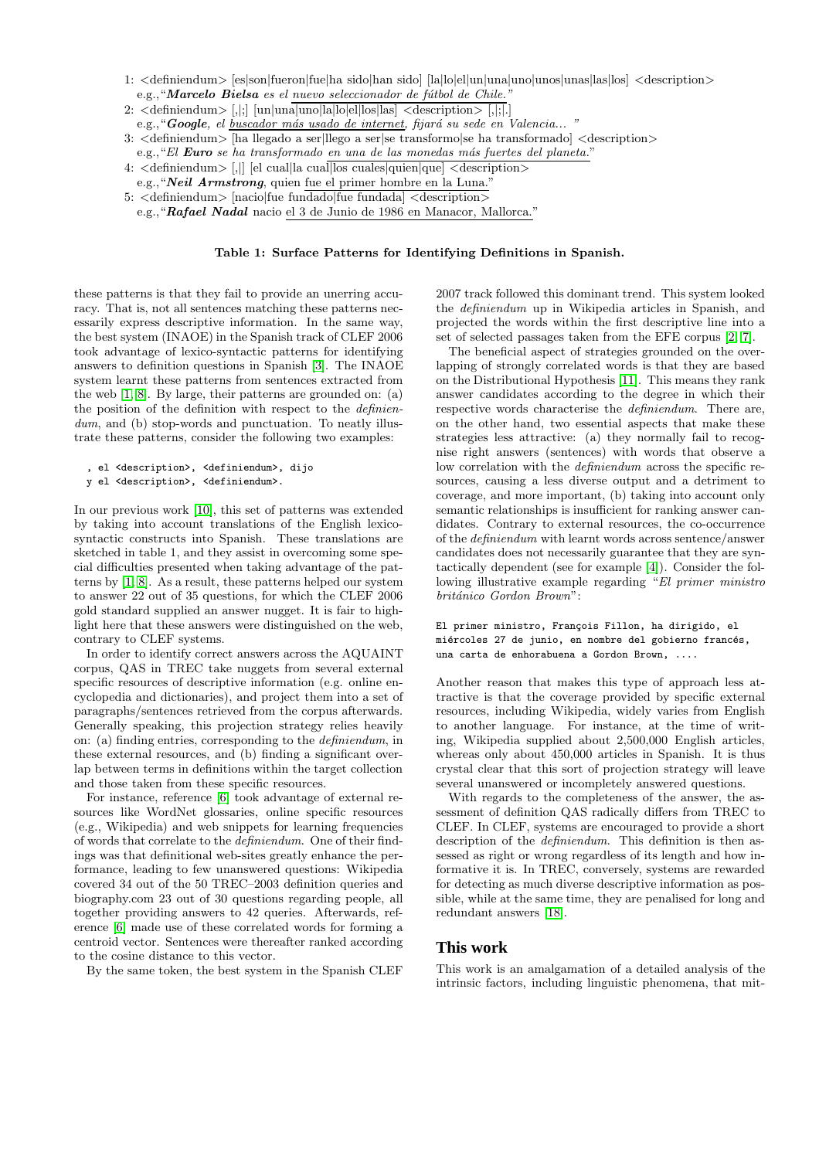- 1: <definiendum> [es|son|fueron|fue|ha sido|han sido] [la|lo|el|un|una|uno|unos|unas|las|los] <description> e.g., "Marcelo Bielsa *es el nuevo seleccionador de fútbol de Chile."*
- 2:  $\triangleleft$   $\triangleleft$   $\triangleleft$   $\triangleleft$   $\triangleleft$   $\triangleleft$   $\triangleleft$   $\triangleleft$   $\triangleleft$   $\triangleleft$   $\triangleleft$   $\triangleleft$   $\triangleleft$   $\triangleleft$   $\triangleleft$   $\triangleleft$   $\triangleleft$   $\triangleleft$   $\triangleleft$   $\triangleleft$   $\triangleleft$   $\triangleleft$   $\triangleleft$   $\triangleleft$   $\triangleleft$   $\triangleleft$   $\triangleleft$   $\triangleleft$   $\triangleleft$   $\triangleleft$   $\triangleleft$   $\triangleleft$   $\triangleleft$   $\triangleleft$   $\triangleleft$   $\triangleleft$   $\$

e.g., "Google, el *buscador más usado de internet*, fijará su sede en Valencia...

- 3: <definiendum> [ha llegado a ser|llego a ser|se transformo|se ha transformado| <description>
	- e.g.,"*El* Euro *se ha transformado en una de las monedas m´as fuertes del planeta.*"
- 4: <definiendum> [,|] [el cual|la cual|los cuales|quien|que] <description>
- e.g., "Neil Armstrong, quien fue el primer hombre en la Luna."

5: <definiendum> [nacio|fue fundado|fue fundada] <description>

e.g.,"Rafael Nadal nacio el 3 de Junio de 1986 en Manacor, Mallorca."

#### <span id="page-1-0"></span>Table 1: Surface Patterns for Identifying Definitions in Spanish.

these patterns is that they fail to provide an unerring accuracy. That is, not all sentences matching these patterns necessarily express descriptive information. In the same way, the best system (INAOE) in the Spanish track of CLEF 2006 took advantage of lexico-syntactic patterns for identifying answers to definition questions in Spanish [\[3\]](#page-9-3). The INAOE system learnt these patterns from sentences extracted from the web [\[1,](#page-9-4) [8\]](#page-9-5). By large, their patterns are grounded on: (a) the position of the definition with respect to the *definien*dum, and (b) stop-words and punctuation. To neatly illustrate these patterns, consider the following two examples:

```
, el <description>, <definiendum>, dijo
```

```
y el <description>, <definiendum>.
```
In our previous work [\[10\]](#page-9-2), this set of patterns was extended by taking into account translations of the English lexicosyntactic constructs into Spanish. These translations are sketched in table 1, and they assist in overcoming some special difficulties presented when taking advantage of the patterns by [\[1,](#page-9-4) [8\]](#page-9-5). As a result, these patterns helped our system to answer 22 out of 35 questions, for which the CLEF 2006 gold standard supplied an answer nugget. It is fair to highlight here that these answers were distinguished on the web, contrary to CLEF systems.

In order to identify correct answers across the AQUAINT corpus, QAS in TREC take nuggets from several external specific resources of descriptive information (e.g. online encyclopedia and dictionaries), and project them into a set of paragraphs/sentences retrieved from the corpus afterwards. Generally speaking, this projection strategy relies heavily on: (a) finding entries, corresponding to the *definiendum*, in these external resources, and (b) finding a significant overlap between terms in definitions within the target collection and those taken from these specific resources.

For instance, reference [\[6\]](#page-9-6) took advantage of external resources like WordNet glossaries, online specific resources (e.g., Wikipedia) and web snippets for learning frequencies of words that correlate to the *definiendum*. One of their findings was that definitional web-sites greatly enhance the performance, leading to few unanswered questions: Wikipedia covered 34 out of the 50 TREC–2003 definition queries and biography.com 23 out of 30 questions regarding people, all together providing answers to 42 queries. Afterwards, reference [\[6\]](#page-9-6) made use of these correlated words for forming a centroid vector. Sentences were thereafter ranked according to the cosine distance to this vector.

By the same token, the best system in the Spanish CLEF

2007 track followed this dominant trend. This system looked the *definiendum* up in Wikipedia articles in Spanish, and projected the words within the first descriptive line into a set of selected passages taken from the EFE corpus [\[2,](#page-9-7) [7\]](#page-9-8).

The beneficial aspect of strategies grounded on the overlapping of strongly correlated words is that they are based on the Distributional Hypothesis [\[11\]](#page-9-9). This means they rank answer candidates according to the degree in which their respective words characterise the *definiendum*. There are, on the other hand, two essential aspects that make these strategies less attractive: (a) they normally fail to recognise right answers (sentences) with words that observe a low correlation with the *definiendum* across the specific resources, causing a less diverse output and a detriment to coverage, and more important, (b) taking into account only semantic relationships is insufficient for ranking answer candidates. Contrary to external resources, the co-occurrence of the *definiendum* with learnt words across sentence/answer candidates does not necessarily guarantee that they are syntactically dependent (see for example [\[4\]](#page-9-10)). Consider the following illustrative example regarding "*El primer ministro brit´anico Gordon Brown*":

El primer ministro, François Fillon, ha dirigido, el miércoles 27 de junio, en nombre del gobierno francés, una carta de enhorabuena a Gordon Brown, ....

Another reason that makes this type of approach less attractive is that the coverage provided by specific external resources, including Wikipedia, widely varies from English to another language. For instance, at the time of writing, Wikipedia supplied about 2,500,000 English articles, whereas only about 450,000 articles in Spanish. It is thus crystal clear that this sort of projection strategy will leave several unanswered or incompletely answered questions.

With regards to the completeness of the answer, the assessment of definition QAS radically differs from TREC to CLEF. In CLEF, systems are encouraged to provide a short description of the *definiendum*. This definition is then assessed as right or wrong regardless of its length and how informative it is. In TREC, conversely, systems are rewarded for detecting as much diverse descriptive information as possible, while at the same time, they are penalised for long and redundant answers [\[18\]](#page-9-11).

## **This work**

This work is an amalgamation of a detailed analysis of the intrinsic factors, including linguistic phenomena, that mit-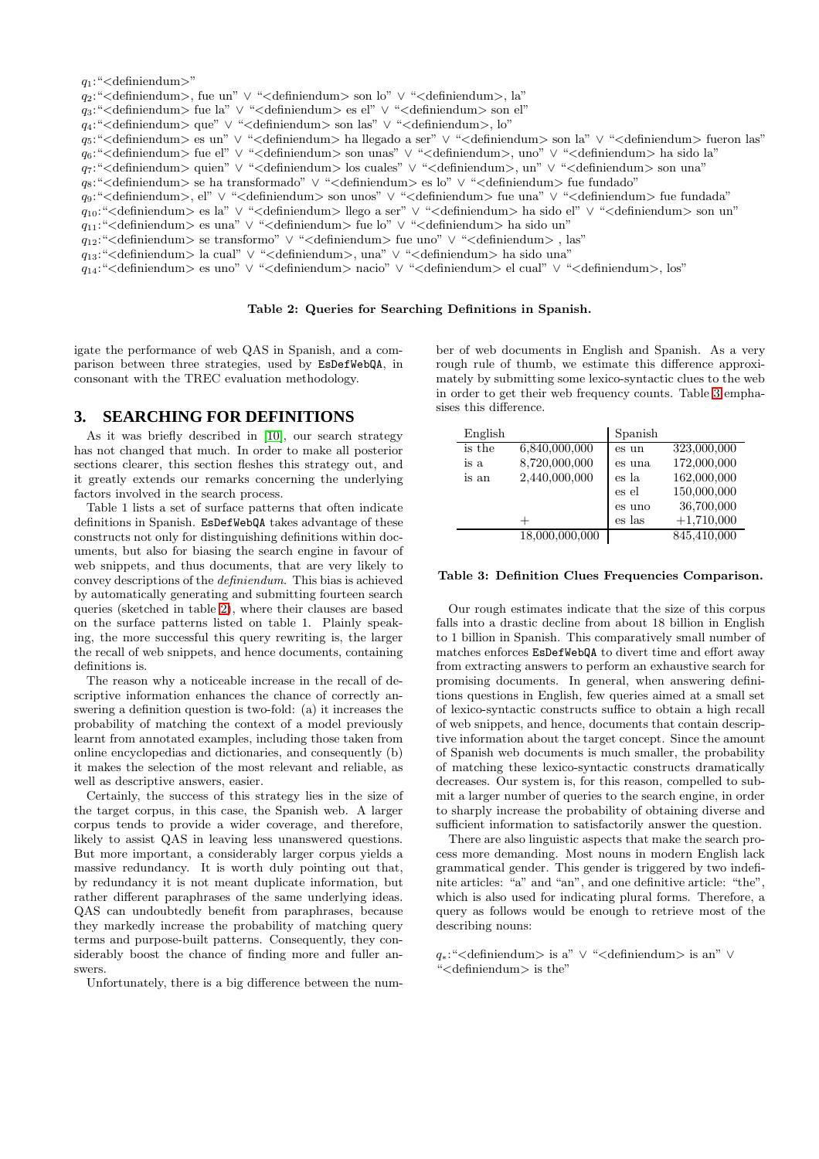#### q1:"<definiendum>"

- q2:"<definiendum>, fue un" ∨ "<definiendum> son lo" ∨ "<definiendum>, la"
- q3:"<definiendum> fue la" ∨ "<definiendum> es el" ∨ "<definiendum> son el"
- q4:"<definiendum> que" ∨ "<definiendum> son las" ∨ "<definiendum>, lo"
- q5:"<definiendum> es un" ∨ "<definiendum> ha llegado a ser" ∨ "<definiendum> son la" ∨ "<definiendum> fueron las"
- q6:"<definiendum> fue el" ∨ "<definiendum> son unas" ∨ "<definiendum>, uno" ∨ "<definiendum> ha sido la"
- q7:"<definiendum> quien" ∨ "<definiendum> los cuales" ∨ "<definiendum>, un" ∨ "<definiendum> son una"
- q8:"<definiendum> se ha transformado" ∨ "<definiendum> es lo" ∨ "<definiendum> fue fundado"
- q9:"<definiendum>, el" ∨ "<definiendum> son unos" ∨ "<definiendum> fue una" ∨ "<definiendum> fue fundada"
- q10:"<definiendum> es la" ∨ "<definiendum> llego a ser" ∨ "<definiendum> ha sido el" ∨ "<definiendum> son un"
- q11:"<definiendum> es una" ∨ "<definiendum> fue lo" ∨ "<definiendum> ha sido un"
- $q_{12}$ : "<definiendum> se transformo" ∨ "<definiendum> fue uno" ∨ "<definiendum>, las"
- q13:"<definiendum> la cual" ∨ "<definiendum>, una" ∨ "<definiendum> ha sido una"
- q14:"<definiendum> es uno" ∨ "<definiendum> nacio" ∨ "<definiendum> el cual" ∨ "<definiendum>, los"

#### Table 2: Queries for Searching Definitions in Spanish.

igate the performance of web QAS in Spanish, and a comparison between three strategies, used by EsDefWebQA, in consonant with the TREC evaluation methodology.

## <span id="page-2-0"></span>**3. SEARCHING FOR DEFINITIONS**

As it was briefly described in [\[10\]](#page-9-2), our search strategy has not changed that much. In order to make all posterior sections clearer, this section fleshes this strategy out, and it greatly extends our remarks concerning the underlying factors involved in the search process.

Table 1 lists a set of surface patterns that often indicate definitions in Spanish. EsDefWebQA takes advantage of these constructs not only for distinguishing definitions within documents, but also for biasing the search engine in favour of web snippets, and thus documents, that are very likely to convey descriptions of the *definiendum*. This bias is achieved by automatically generating and submitting fourteen search queries (sketched in table [2\)](#page-1-0), where their clauses are based on the surface patterns listed on table 1. Plainly speaking, the more successful this query rewriting is, the larger the recall of web snippets, and hence documents, containing definitions is.

The reason why a noticeable increase in the recall of descriptive information enhances the chance of correctly answering a definition question is two-fold: (a) it increases the probability of matching the context of a model previously learnt from annotated examples, including those taken from online encyclopedias and dictionaries, and consequently (b) it makes the selection of the most relevant and reliable, as well as descriptive answers, easier.

Certainly, the success of this strategy lies in the size of the target corpus, in this case, the Spanish web. A larger corpus tends to provide a wider coverage, and therefore, likely to assist QAS in leaving less unanswered questions. But more important, a considerably larger corpus yields a massive redundancy. It is worth duly pointing out that, by redundancy it is not meant duplicate information, but rather different paraphrases of the same underlying ideas. QAS can undoubtedly benefit from paraphrases, because they markedly increase the probability of matching query terms and purpose-built patterns. Consequently, they considerably boost the chance of finding more and fuller answers.

Unfortunately, there is a big difference between the num-

ber of web documents in English and Spanish. As a very rough rule of thumb, we estimate this difference approximately by submitting some lexico-syntactic clues to the web in order to get their web frequency counts. Table [3](#page-2-0) emphasises this difference.

| English |                | Spanish |              |
|---------|----------------|---------|--------------|
| is the  | 6,840,000,000  | es un   | 323,000,000  |
| is a    | 8,720,000,000  | es una  | 172,000,000  |
| is an   | 2,440,000,000  | es la   | 162,000,000  |
|         |                | es el   | 150,000,000  |
|         |                | es uno  | 36,700,000   |
|         |                | es las  | $+1,710,000$ |
|         | 18,000,000,000 |         | 845,410,000  |

#### Table 3: Definition Clues Frequencies Comparison.

Our rough estimates indicate that the size of this corpus falls into a drastic decline from about 18 billion in English to 1 billion in Spanish. This comparatively small number of matches enforces EsDefWebQA to divert time and effort away from extracting answers to perform an exhaustive search for promising documents. In general, when answering definitions questions in English, few queries aimed at a small set of lexico-syntactic constructs suffice to obtain a high recall of web snippets, and hence, documents that contain descriptive information about the target concept. Since the amount of Spanish web documents is much smaller, the probability of matching these lexico-syntactic constructs dramatically decreases. Our system is, for this reason, compelled to submit a larger number of queries to the search engine, in order to sharply increase the probability of obtaining diverse and sufficient information to satisfactorily answer the question.

There are also linguistic aspects that make the search process more demanding. Most nouns in modern English lack grammatical gender. This gender is triggered by two indefinite articles: "a" and "an", and one definitive article: "the", which is also used for indicating plural forms. Therefore, a query as follows would be enough to retrieve most of the describing nouns:

q∗:"<definiendum> is a" ∨ "<definiendum> is an" ∨ "<definiendum> is the"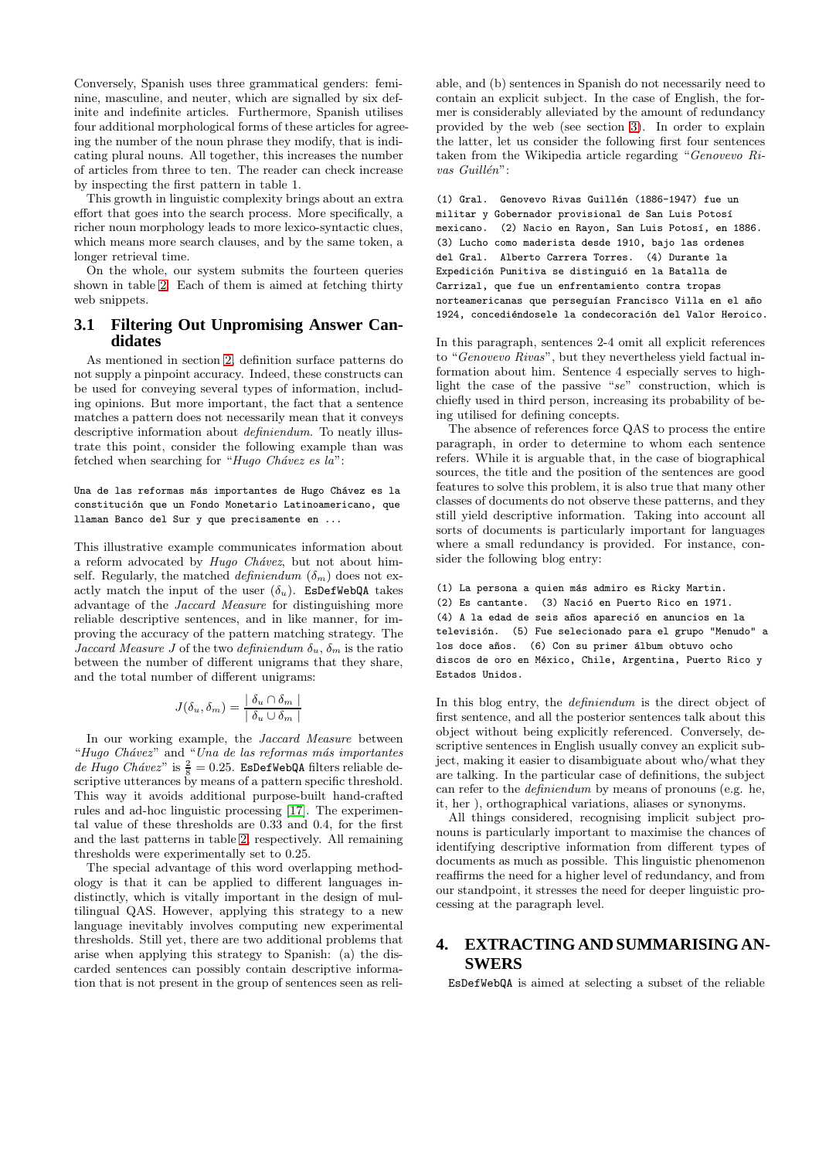Conversely, Spanish uses three grammatical genders: feminine, masculine, and neuter, which are signalled by six definite and indefinite articles. Furthermore, Spanish utilises four additional morphological forms of these articles for agreeing the number of the noun phrase they modify, that is indicating plural nouns. All together, this increases the number of articles from three to ten. The reader can check increase by inspecting the first pattern in table 1.

This growth in linguistic complexity brings about an extra effort that goes into the search process. More specifically, a richer noun morphology leads to more lexico-syntactic clues, which means more search clauses, and by the same token, a longer retrieval time.

On the whole, our system submits the fourteen queries shown in table [2.](#page-1-0) Each of them is aimed at fetching thirty web snippets.

# <span id="page-3-1"></span>**3.1 Filtering Out Unpromising Answer Candidates**

As mentioned in section [2,](#page-0-0) definition surface patterns do not supply a pinpoint accuracy. Indeed, these constructs can be used for conveying several types of information, including opinions. But more important, the fact that a sentence matches a pattern does not necessarily mean that it conveys descriptive information about *definiendum*. To neatly illustrate this point, consider the following example than was fetched when searching for "*Hugo Chávez es la*":

Una de las reformas más importantes de Hugo Chávez es la constitución que un Fondo Monetario Latinoamericano, que llaman Banco del Sur y que precisamente en ...

This illustrative example communicates information about a reform advocated by *Hugo Chávez*, but not about himself. Regularly, the matched *definiendum*  $(\delta_m)$  does not exactly match the input of the user  $(\delta_u)$ . EsDefWebQA takes advantage of the *Jaccard Measure* for distinguishing more reliable descriptive sentences, and in like manner, for improving the accuracy of the pattern matching strategy. The *Jaccard Measure J* of the two *definiendum*  $\delta_u$ ,  $\delta_m$  is the ratio between the number of different unigrams that they share, and the total number of different unigrams:

$$
J(\delta_u, \delta_m) = \frac{\delta_u \cap \delta_m}{\delta_u \cup \delta_m}
$$

In our working example, the *Jaccard Measure* between "*Hugo Ch´avez*" and "*Una de las reformas m´as importantes*  $de Hugo Chávez"$  is  $\frac{2}{8} = 0.25$ . **EsDefWebQA** filters reliable descriptive utterances by means of a pattern specific threshold. This way it avoids additional purpose-built hand-crafted rules and ad-hoc linguistic processing [\[17\]](#page-9-0). The experimental value of these thresholds are 0.33 and 0.4, for the first and the last patterns in table [2,](#page-0-0) respectively. All remaining thresholds were experimentally set to 0.25.

The special advantage of this word overlapping methodology is that it can be applied to different languages indistinctly, which is vitally important in the design of multilingual QAS. However, applying this strategy to a new language inevitably involves computing new experimental thresholds. Still yet, there are two additional problems that arise when applying this strategy to Spanish: (a) the discarded sentences can possibly contain descriptive information that is not present in the group of sentences seen as reli-

able, and (b) sentences in Spanish do not necessarily need to contain an explicit subject. In the case of English, the former is considerably alleviated by the amount of redundancy provided by the web (see section [3\)](#page-2-0). In order to explain the latter, let us consider the following first four sentences taken from the Wikipedia article regarding "*Genovevo Ri*vas Guillén":

(1) Gral. Genovevo Rivas Guillén (1886-1947) fue un militar y Gobernador provisional de San Luis Potosí mexicano. (2) Nacio en Rayon, San Luis Potosí, en 1886. (3) Lucho como maderista desde 1910, bajo las ordenes del Gral. Alberto Carrera Torres. (4) Durante la Expedición Punitiva se distinguió en la Batalla de Carrizal, que fue un enfrentamiento contra tropas norteamericanas que perseguían Francisco Villa en el año 1924, concediéndosele la condecoración del Valor Heroico.

In this paragraph, sentences 2-4 omit all explicit references to "*Genovevo Rivas*", but they nevertheless yield factual information about him. Sentence 4 especially serves to highlight the case of the passive "*se*" construction, which is chiefly used in third person, increasing its probability of being utilised for defining concepts.

The absence of references force QAS to process the entire paragraph, in order to determine to whom each sentence refers. While it is arguable that, in the case of biographical sources, the title and the position of the sentences are good features to solve this problem, it is also true that many other classes of documents do not observe these patterns, and they still yield descriptive information. Taking into account all sorts of documents is particularly important for languages where a small redundancy is provided. For instance, consider the following blog entry:

```
(1) La persona a quien más admiro es Ricky Martin.
(2) Es cantante. (3) Nació en Puerto Rico en 1971.
(4) A la edad de seis años apareció en anuncios en la
televisión. (5) Fue selecionado para el grupo "Menudo" a
los doce años. (6) Con su primer álbum obtuvo ocho
discos de oro en México, Chile, Argentina, Puerto Rico y
Estados Unidos.
```
In this blog entry, the *definiendum* is the direct object of first sentence, and all the posterior sentences talk about this object without being explicitly referenced. Conversely, descriptive sentences in English usually convey an explicit subject, making it easier to disambiguate about who/what they are talking. In the particular case of definitions, the subject can refer to the *definiendum* by means of pronouns (e.g. he, it, her ), orthographical variations, aliases or synonyms.

All things considered, recognising implicit subject pronouns is particularly important to maximise the chances of identifying descriptive information from different types of documents as much as possible. This linguistic phenomenon reaffirms the need for a higher level of redundancy, and from our standpoint, it stresses the need for deeper linguistic processing at the paragraph level.

# <span id="page-3-0"></span>**4. EXTRACTING AND SUMMARISING AN-SWERS**

EsDefWebQA is aimed at selecting a subset of the reliable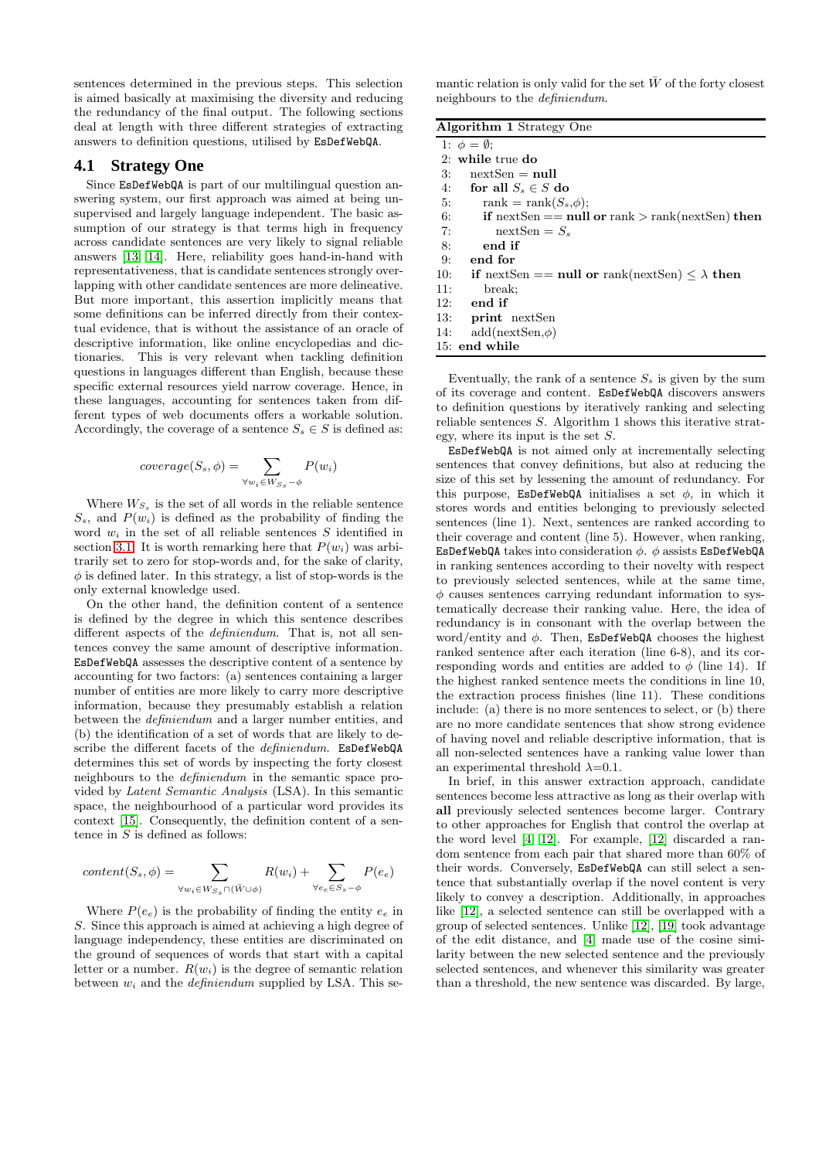sentences determined in the previous steps. This selection is aimed basically at maximising the diversity and reducing the redundancy of the final output. The following sections deal at length with three different strategies of extracting answers to definition questions, utilised by EsDefWebQA.

#### **4.1 Strategy One**

Since EsDefWebQA is part of our multilingual question answering system, our first approach was aimed at being unsupervised and largely language independent. The basic assumption of our strategy is that terms high in frequency across candidate sentences are very likely to signal reliable answers [\[13,](#page-9-12) [14\]](#page-9-13). Here, reliability goes hand-in-hand with representativeness, that is candidate sentences strongly overlapping with other candidate sentences are more delineative. But more important, this assertion implicitly means that some definitions can be inferred directly from their contextual evidence, that is without the assistance of an oracle of descriptive information, like online encyclopedias and dictionaries. This is very relevant when tackling definition questions in languages different than English, because these specific external resources yield narrow coverage. Hence, in these languages, accounting for sentences taken from different types of web documents offers a workable solution. Accordingly, the coverage of a sentence  $S_s \in S$  is defined as:

$$
coverage(S_s,\phi) = \sum_{\forall w_i \in W_{S_s}-\phi} P(w_i)
$$

Where  $W_{S_s}$  is the set of all words in the reliable sentence  $S_s$ , and  $P(w_i)$  is defined as the probability of finding the word  $w_i$  in the set of all reliable sentences  $S$  identified in section [3.1.](#page-3-1) It is worth remarking here that  $P(w_i)$  was arbitrarily set to zero for stop-words and, for the sake of clarity,  $\phi$  is defined later. In this strategy, a list of stop-words is the only external knowledge used.

On the other hand, the definition content of a sentence is defined by the degree in which this sentence describes different aspects of the *definiendum*. That is, not all sentences convey the same amount of descriptive information. EsDefWebQA assesses the descriptive content of a sentence by accounting for two factors: (a) sentences containing a larger number of entities are more likely to carry more descriptive information, because they presumably establish a relation between the *definiendum* and a larger number entities, and (b) the identification of a set of words that are likely to describe the different facets of the *definiendum*. EsDefWebQA determines this set of words by inspecting the forty closest neighbours to the *definiendum* in the semantic space provided by *Latent Semantic Analysis* (LSA). In this semantic space, the neighbourhood of a particular word provides its context [\[15\]](#page-9-14). Consequently, the definition content of a sentence in  $S$  is defined as follows:

$$
content(S_s, \phi) = \sum_{\forall w_i \in W_{S_s} \cap (\bar{W} \cup \phi)} R(w_i) + \sum_{\forall e_e \in S_s - \phi} P(e_e)
$$

Where  $P(e_e)$  is the probability of finding the entity  $e_e$  in S. Since this approach is aimed at achieving a high degree of language independency, these entities are discriminated on the ground of sequences of words that start with a capital letter or a number.  $R(w_i)$  is the degree of semantic relation between w<sup>i</sup> and the *definiendum* supplied by LSA. This se-

mantic relation is only valid for the set  $\bar{W}$  of the forty closest neighbours to the *definiendum*.

Algorithm 1 Strategy One

| $\frac{1}{2}$                                                                  |  |
|--------------------------------------------------------------------------------|--|
| 1: $\phi = \emptyset$ ;                                                        |  |
| $2:$ while true do                                                             |  |
| 3:<br>$nextSen = null$                                                         |  |
| 4: for all $S_s \in S$ do                                                      |  |
| rank = rank $(S_s, \phi)$ ;<br>5:                                              |  |
| 6:<br><b>if</b> nextSen $==$ <b>null or</b> rank $>$ rank(nextSen) <b>then</b> |  |
| 7:<br>$nextSen = S_s$                                                          |  |
| end if<br>8:                                                                   |  |
| 9:<br>end for                                                                  |  |
| 10: if nextSen == null or rank(nextSen) $\langle \lambda \rangle$ then         |  |
| 11:<br>break:                                                                  |  |
| 12:<br>end if                                                                  |  |
| 13:<br>print nextSen                                                           |  |
| $add(newtSen, \phi)$<br>14:                                                    |  |
| 15: end while                                                                  |  |
|                                                                                |  |

Eventually, the rank of a sentence  $S_s$  is given by the sum of its coverage and content. EsDefWebQA discovers answers to definition questions by iteratively ranking and selecting reliable sentences S. Algorithm 1 shows this iterative strategy, where its input is the set S.

EsDefWebQA is not aimed only at incrementally selecting sentences that convey definitions, but also at reducing the size of this set by lessening the amount of redundancy. For this purpose, EsDefWebQA initialises a set  $\phi$ , in which it stores words and entities belonging to previously selected sentences (line 1). Next, sentences are ranked according to their coverage and content (line 5). However, when ranking, EsDefWebQA takes into consideration  $\phi$ .  $\phi$  assists EsDefWebQA in ranking sentences according to their novelty with respect to previously selected sentences, while at the same time,  $\phi$  causes sentences carrying redundant information to systematically decrease their ranking value. Here, the idea of redundancy is in consonant with the overlap between the word/entity and  $\phi$ . Then, EsDefWebQA chooses the highest ranked sentence after each iteration (line 6-8), and its corresponding words and entities are added to  $\phi$  (line 14). If the highest ranked sentence meets the conditions in line 10, the extraction process finishes (line 11). These conditions include: (a) there is no more sentences to select, or (b) there are no more candidate sentences that show strong evidence of having novel and reliable descriptive information, that is all non-selected sentences have a ranking value lower than an experimental threshold  $\lambda$ =0.1.

In brief, in this answer extraction approach, candidate sentences become less attractive as long as their overlap with all previously selected sentences become larger. Contrary to other approaches for English that control the overlap at the word level [\[4,](#page-9-10) [12\]](#page-9-1). For example, [\[12\]](#page-9-1) discarded a random sentence from each pair that shared more than 60% of their words. Conversely, EsDefWebQA can still select a sentence that substantially overlap if the novel content is very likely to convey a description. Additionally, in approaches like [\[12\]](#page-9-1), a selected sentence can still be overlapped with a group of selected sentences. Unlike [\[12\]](#page-9-1), [\[19\]](#page-9-15) took advantage of the edit distance, and [\[4\]](#page-9-10) made use of the cosine similarity between the new selected sentence and the previously selected sentences, and whenever this similarity was greater than a threshold, the new sentence was discarded. By large,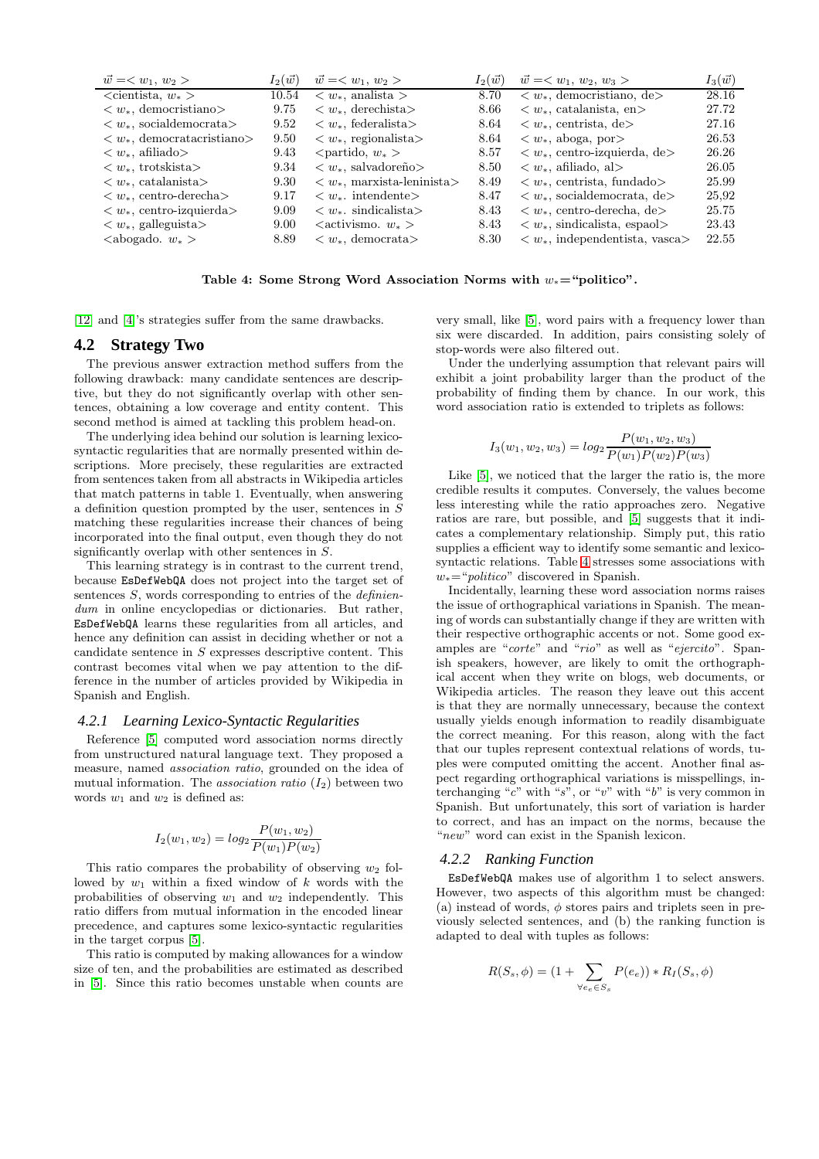| $\vec{w} = \langle w_1, w_2 \rangle$           | $I_2(\vec{w})$ | $\vec{w} = \langle w_1, w_2 \rangle$           | $I_2(\vec{w})$ | $\vec{w} = \langle w_1, w_2, w_3 \rangle$                                                                                                                                                                                                         | $I_3(\vec{w})$ |
|------------------------------------------------|----------------|------------------------------------------------|----------------|---------------------------------------------------------------------------------------------------------------------------------------------------------------------------------------------------------------------------------------------------|----------------|
| $\alpha$ isotecondered $w_*$                   | 10.54          | $\langle w_*$ , analista $\rangle$             | 8.70           | $\langle w_*, \text{demon} \rangle$ depends to depend to depend to depend to depend the set of the set of the set of the set of the set of the set of the set of the set of the set of the set of the set of the set of the set of the set of the | 28.16          |
| $\langle w_*, \text{demon} \rangle$            | 9.75           | $\langle w_*, \text{derechista}\rangle$        | 8.66           | $\langle w_*$ , catalanista, en $\rangle$                                                                                                                                                                                                         | 27.72          |
| $\langle w_*, \text{socialdemocrata}\rangle$   | 9.52           | $\langle w_*$ , federalista                    | 8.64           | $\langle w_*,$ centrista, de                                                                                                                                                                                                                      | 27.16          |
| $\langle w_*$ , democratacristiano             | 9.50           | $\langle w_*,$ regionalista                    | 8.64           | $\langle w_*, \text{aboga}, \text{por}\rangle$                                                                                                                                                                                                    | 26.53          |
| $\langle w_*, \text{afiliado}\rangle$          | 9.43           | $\epsilon$ $\epsilon$ $w_*$ $>$                | 8.57           | $\langle w_*, \text{centro-izquierda}, \text{de}\rangle$                                                                                                                                                                                          | 26.26          |
| $\langle w_*, \text{trotskista}\rangle$        | 9.34           | $\langle w_*, \text{salvadoreño}\rangle$       | 8.50           | $\langle w_*, \text{afiliado}, \text{al}\rangle$                                                                                                                                                                                                  | 26.05          |
| $\langle w_*, \text{catalanista}\rangle$       | 9.30           | $\langle w_*, \text{maxista-leninista}\rangle$ | 8.49           | $\langle w_*,$ centrista, fundado                                                                                                                                                                                                                 | 25.99          |
| $\langle w_*$ , centro-derecha                 | 9.17           | $\langle w_*$ intendente $>$                   | 8.47           | $\langle w_*, \text{socialdemocrata}, \text{de}\rangle$                                                                                                                                                                                           | 25,92          |
| $\langle w_*, \text{centro-izquierda} \rangle$ | 9.09           | $\langle w_*$ . sindicalista                   | 8.43           | $\langle w_*, \text{centro-derecha}, \text{de}\rangle$                                                                                                                                                                                            | 25.75          |
| $\langle w_*, \text{ galleguista}\rangle$      | 9.00           | $\langle$ activismo. $w_*$                     | 8.43           | $\langle w_*$ , sindicalista, espac $\rangle$                                                                                                                                                                                                     | 23.43          |
| $\langle \text{abogado. } w_* \rangle$         | 8.89           | $\langle w_*, \text{democrata}\rangle$         | 8.30           | $\langle w_*, \text{ independentista}, \text{vasca}\rangle$                                                                                                                                                                                       | 22.55          |

<span id="page-5-0"></span>Table 4: Some Strong Word Association Norms with  $w_* =$ "politico".

[\[12\]](#page-9-1) and [\[4\]](#page-9-10)'s strategies suffer from the same drawbacks.

# **4.2 Strategy Two**

The previous answer extraction method suffers from the following drawback: many candidate sentences are descriptive, but they do not significantly overlap with other sentences, obtaining a low coverage and entity content. This second method is aimed at tackling this problem head-on.

The underlying idea behind our solution is learning lexicosyntactic regularities that are normally presented within descriptions. More precisely, these regularities are extracted from sentences taken from all abstracts in Wikipedia articles that match patterns in table 1. Eventually, when answering a definition question prompted by the user, sentences in S matching these regularities increase their chances of being incorporated into the final output, even though they do not significantly overlap with other sentences in S.

This learning strategy is in contrast to the current trend, because EsDefWebQA does not project into the target set of sentences S, words corresponding to entries of the *definiendum* in online encyclopedias or dictionaries. But rather, EsDefWebQA learns these regularities from all articles, and hence any definition can assist in deciding whether or not a candidate sentence in S expresses descriptive content. This contrast becomes vital when we pay attention to the difference in the number of articles provided by Wikipedia in Spanish and English.

#### <span id="page-5-1"></span>*4.2.1 Learning Lexico-Syntactic Regularities*

Reference [\[5\]](#page-9-16) computed word association norms directly from unstructured natural language text. They proposed a measure, named *association ratio*, grounded on the idea of mutual information. The *association ratio*  $(I_2)$  between two words  $w_1$  and  $w_2$  is defined as:

$$
I_2(w_1, w_2) = log_2 \frac{P(w_1, w_2)}{P(w_1)P(w_2)}
$$

This ratio compares the probability of observing  $w_2$  followed by  $w_1$  within a fixed window of  $k$  words with the probabilities of observing  $w_1$  and  $w_2$  independently. This ratio differs from mutual information in the encoded linear precedence, and captures some lexico-syntactic regularities in the target corpus [\[5\]](#page-9-16).

This ratio is computed by making allowances for a window size of ten, and the probabilities are estimated as described in [\[5\]](#page-9-16). Since this ratio becomes unstable when counts are very small, like [\[5\]](#page-9-16), word pairs with a frequency lower than six were discarded. In addition, pairs consisting solely of stop-words were also filtered out.

Under the underlying assumption that relevant pairs will exhibit a joint probability larger than the product of the probability of finding them by chance. In our work, this word association ratio is extended to triplets as follows:

$$
I_3(w_1, w_2, w_3) = log_2 \frac{P(w_1, w_2, w_3)}{P(w_1)P(w_2)P(w_3)}
$$

Like [\[5\]](#page-9-16), we noticed that the larger the ratio is, the more credible results it computes. Conversely, the values become less interesting while the ratio approaches zero. Negative ratios are rare, but possible, and [\[5\]](#page-9-16) suggests that it indicates a complementary relationship. Simply put, this ratio supplies a efficient way to identify some semantic and lexicosyntactic relations. Table [4](#page-5-0) stresses some associations with w∗="*politico*" discovered in Spanish.

Incidentally, learning these word association norms raises the issue of orthographical variations in Spanish. The meaning of words can substantially change if they are written with their respective orthographic accents or not. Some good examples are "*corte*" and "*rio*" as well as "*ejercito*". Spanish speakers, however, are likely to omit the orthographical accent when they write on blogs, web documents, or Wikipedia articles. The reason they leave out this accent is that they are normally unnecessary, because the context usually yields enough information to readily disambiguate the correct meaning. For this reason, along with the fact that our tuples represent contextual relations of words, tuples were computed omitting the accent. Another final aspect regarding orthographical variations is misspellings, interchanging "*c*" with "*s*", or "*v*" with "*b*" is very common in Spanish. But unfortunately, this sort of variation is harder to correct, and has an impact on the norms, because the "*new*" word can exist in the Spanish lexicon.

#### <span id="page-5-2"></span>*4.2.2 Ranking Function*

EsDefWebQA makes use of algorithm 1 to select answers. However, two aspects of this algorithm must be changed: (a) instead of words,  $\phi$  stores pairs and triplets seen in previously selected sentences, and (b) the ranking function is adapted to deal with tuples as follows:

$$
R(S_s, \phi) = (1 + \sum_{\forall e_e \in S_s} P(e_e)) * R_I(S_s, \phi)
$$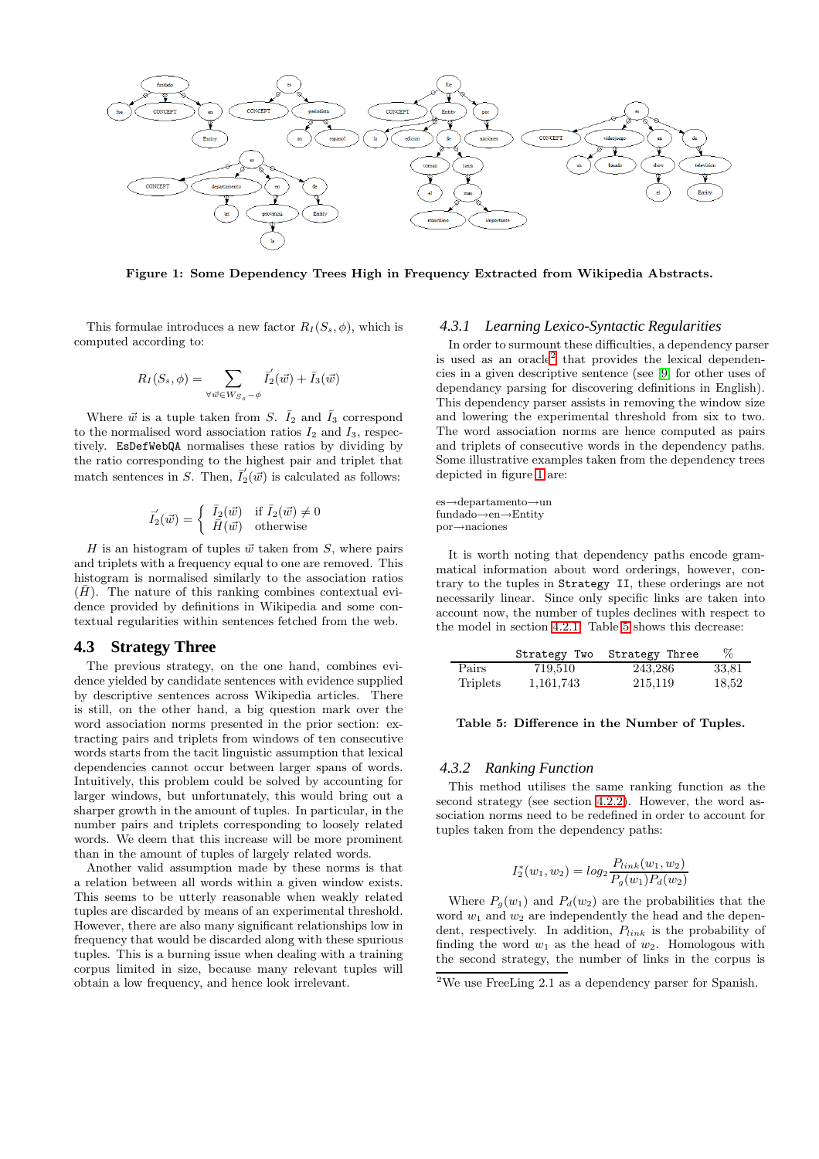

<span id="page-6-1"></span>Figure 1: Some Dependency Trees High in Frequency Extracted from Wikipedia Abstracts.

This formulae introduces a new factor  $R_I(S_s, \phi)$ , which is computed according to:

$$
R_I(S_s, \phi) = \sum_{\forall \vec{w} \in W_{S_s} - \phi} \vec{I}_2(\vec{w}) + \vec{I}_3(\vec{w})
$$

Where  $\vec{w}$  is a tuple taken from S.  $\bar{I}_2$  and  $\bar{I}_3$  correspond to the normalised word association ratios  $I_2$  and  $I_3$ , respectively. EsDefWebQA normalises these ratios by dividing by the ratio corresponding to the highest pair and triplet that match sentences in S. Then,  $\overline{I}'_2(\vec{w})$  is calculated as follows:

$$
\overline{I}'_2(\vec{w}) = \begin{cases} \overline{I}_2(\vec{w}) & \text{if } \overline{I}_2(\vec{w}) \neq 0 \\ \overline{H}(\vec{w}) & \text{otherwise} \end{cases}
$$

H is an histogram of tuples  $\vec{w}$  taken from S, where pairs and triplets with a frequency equal to one are removed. This histogram is normalised similarly to the association ratios  $(\bar{H})$ . The nature of this ranking combines contextual evidence provided by definitions in Wikipedia and some contextual regularities within sentences fetched from the web.

## **4.3 Strategy Three**

The previous strategy, on the one hand, combines evidence yielded by candidate sentences with evidence supplied by descriptive sentences across Wikipedia articles. There is still, on the other hand, a big question mark over the word association norms presented in the prior section: extracting pairs and triplets from windows of ten consecutive words starts from the tacit linguistic assumption that lexical dependencies cannot occur between larger spans of words. Intuitively, this problem could be solved by accounting for larger windows, but unfortunately, this would bring out a sharper growth in the amount of tuples. In particular, in the number pairs and triplets corresponding to loosely related words. We deem that this increase will be more prominent than in the amount of tuples of largely related words.

Another valid assumption made by these norms is that a relation between all words within a given window exists. This seems to be utterly reasonable when weakly related tuples are discarded by means of an experimental threshold. However, there are also many significant relationships low in frequency that would be discarded along with these spurious tuples. This is a burning issue when dealing with a training corpus limited in size, because many relevant tuples will obtain a low frequency, and hence look irrelevant.

#### *4.3.1 Learning Lexico-Syntactic Regularities*

In order to surmount these difficulties, a dependency parser is used as an oracle<sup>[2](#page-6-0)</sup> that provides the lexical dependencies in a given descriptive sentence (see [\[9\]](#page-9-17) for other uses of dependancy parsing for discovering definitions in English). This dependency parser assists in removing the window size and lowering the experimental threshold from six to two. The word association norms are hence computed as pairs and triplets of consecutive words in the dependency paths. Some illustrative examples taken from the dependency trees depicted in figure [1](#page-6-1) are:

es→departamento→un fundado→en→Entity por→naciones

It is worth noting that dependency paths encode grammatical information about word orderings, however, contrary to the tuples in Strategy II, these orderings are not necessarily linear. Since only specific links are taken into account now, the number of tuples declines with respect to the model in section [4.2.1.](#page-5-1) Table [5](#page-6-2) shows this decrease:

|          | Strategy Two | Strategy Three | $\%$  |
|----------|--------------|----------------|-------|
| Pairs    | 719,510      | 243,286        | 33,81 |
| Triplets | 1,161,743    | 215,119        | 18,52 |

#### <span id="page-6-2"></span>Table 5: Difference in the Number of Tuples.

#### *4.3.2 Ranking Function*

This method utilises the same ranking function as the second strategy (see section [4.2.2\)](#page-5-2). However, the word association norms need to be redefined in order to account for tuples taken from the dependency paths:

$$
I_2^*(w_1, w_2) = log_2 \frac{P_{link}(w_1, w_2)}{P_g(w_1)P_d(w_2)}
$$

Where  $P_g(w_1)$  and  $P_d(w_2)$  are the probabilities that the word  $w_1$  and  $w_2$  are independently the head and the dependent, respectively. In addition,  $P_{link}$  is the probability of finding the word  $w_1$  as the head of  $w_2$ . Homologous with the second strategy, the number of links in the corpus is

<span id="page-6-0"></span><sup>&</sup>lt;sup>2</sup>We use FreeLing 2.1 as a dependency parser for Spanish.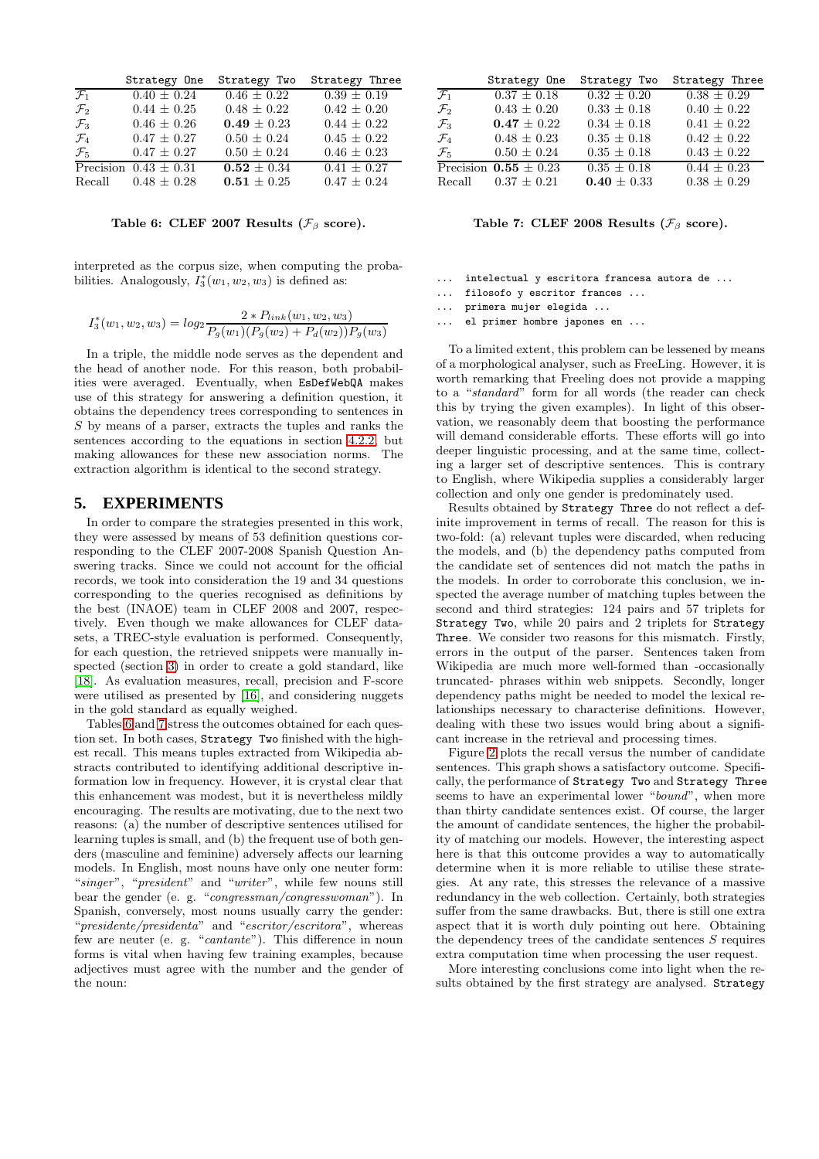|                 | Strategy One              | Strategy Two    | Strategy Three  |
|-----------------|---------------------------|-----------------|-----------------|
| $\mathcal{F}_1$ | $0.40 \pm 0.24$           | $0.46 \pm 0.22$ | $0.39 \pm 0.19$ |
| $\mathcal{F}_2$ | $0.44 \pm 0.25$           | $0.48 \pm 0.22$ | $0.42 \pm 0.20$ |
| $\mathcal{F}_3$ | $0.46 \pm 0.26$           | $0.49 \pm 0.23$ | $0.44 \pm 0.22$ |
| $\mathcal{F}_4$ | $0.47 \pm 0.27$           | $0.50 \pm 0.24$ | $0.45 \pm 0.22$ |
| $\mathcal{F}_5$ | $0.47 \pm 0.27$           | $0.50 \pm 0.24$ | $0.46 \pm 0.23$ |
|                 | Precision $0.43 \pm 0.31$ | $0.52 \pm 0.34$ | $0.41 \pm 0.27$ |
|                 | Recall $0.48 \pm 0.28$    | $0.51 \pm 0.25$ | $0.47 \pm 0.24$ |

<span id="page-7-1"></span>Table 6: CLEF 2007 Results ( $\mathcal{F}_{\beta}$  score).

interpreted as the corpus size, when computing the probabilities. Analogously,  $I_3^*(w_1, w_2, w_3)$  is defined as:

$$
I_3^*(w_1, w_2, w_3) = log_2 \frac{2 * P_{link}(w_1, w_2, w_3)}{P_g(w_1)(P_g(w_2) + P_d(w_2))P_g(w_3)}
$$

In a triple, the middle node serves as the dependent and the head of another node. For this reason, both probabilities were averaged. Eventually, when EsDefWebQA makes use of this strategy for answering a definition question, it obtains the dependency trees corresponding to sentences in S by means of a parser, extracts the tuples and ranks the sentences according to the equations in section [4.2.2,](#page-5-2) but making allowances for these new association norms. The extraction algorithm is identical to the second strategy.

## <span id="page-7-0"></span>**5. EXPERIMENTS**

In order to compare the strategies presented in this work, they were assessed by means of 53 definition questions corresponding to the CLEF 2007-2008 Spanish Question Answering tracks. Since we could not account for the official records, we took into consideration the 19 and 34 questions corresponding to the queries recognised as definitions by the best (INAOE) team in CLEF 2008 and 2007, respectively. Even though we make allowances for CLEF datasets, a TREC-style evaluation is performed. Consequently, for each question, the retrieved snippets were manually inspected (section [3\)](#page-2-0) in order to create a gold standard, like [\[18\]](#page-9-11). As evaluation measures, recall, precision and F-score were utilised as presented by [\[16\]](#page-9-18), and considering nuggets in the gold standard as equally weighed.

Tables [6](#page-7-1) and [7](#page-7-2) stress the outcomes obtained for each question set. In both cases, Strategy Two finished with the highest recall. This means tuples extracted from Wikipedia abstracts contributed to identifying additional descriptive information low in frequency. However, it is crystal clear that this enhancement was modest, but it is nevertheless mildly encouraging. The results are motivating, due to the next two reasons: (a) the number of descriptive sentences utilised for learning tuples is small, and (b) the frequent use of both genders (masculine and feminine) adversely affects our learning models. In English, most nouns have only one neuter form: "*singer*", "*president*" and "*writer*", while few nouns still bear the gender (e. g. "*congressman/congresswoman*"). In Spanish, conversely, most nouns usually carry the gender: "*presidente/presidenta*" and "*escritor/escritora*", whereas few are neuter (e. g. "*cantante*"). This difference in noun forms is vital when having few training examples, because adjectives must agree with the number and the gender of the noun:

|                 | Strategy One              | Strategy Two    | Strategy Three  |
|-----------------|---------------------------|-----------------|-----------------|
| $\mathcal{F}_1$ | $0.37 \pm 0.18$           | $0.32 \pm 0.20$ | $0.38 \pm 0.29$ |
| $\mathcal{F}_2$ | $0.43 \pm 0.20$           | $0.33 \pm 0.18$ | $0.40 \pm 0.22$ |
| $\mathcal{F}_3$ | $0.47 \pm 0.22$           | $0.34 \pm 0.18$ | $0.41 \pm 0.22$ |
| $\mathcal{F}_4$ | $0.48 \pm 0.23$           | $0.35 \pm 0.18$ | $0.42 \pm 0.22$ |
| $\mathcal{F}_5$ | $0.50 \pm 0.24$           | $0.35 \pm 0.18$ | $0.43 \pm 0.22$ |
|                 | Precision $0.55 \pm 0.23$ | $0.35 \pm 0.18$ | $0.44 \pm 0.23$ |
|                 | Recall $0.37 \pm 0.21$    | $0.40 \pm 0.33$ | $0.38 \pm 0.29$ |

<span id="page-7-2"></span>Table 7: CLEF 2008 Results ( $\mathcal{F}_{\beta}$  score).

- ... intelectual y escritora francesa autora de ...
- ... filosofo y escritor frances ...
- ... primera mujer elegida ...
- ... el primer hombre japones en ...

To a limited extent, this problem can be lessened by means of a morphological analyser, such as FreeLing. However, it is worth remarking that Freeling does not provide a mapping to a "*standard*" form for all words (the reader can check this by trying the given examples). In light of this observation, we reasonably deem that boosting the performance will demand considerable efforts. These efforts will go into deeper linguistic processing, and at the same time, collecting a larger set of descriptive sentences. This is contrary to English, where Wikipedia supplies a considerably larger collection and only one gender is predominately used.

Results obtained by Strategy Three do not reflect a definite improvement in terms of recall. The reason for this is two-fold: (a) relevant tuples were discarded, when reducing the models, and (b) the dependency paths computed from the candidate set of sentences did not match the paths in the models. In order to corroborate this conclusion, we inspected the average number of matching tuples between the second and third strategies: 124 pairs and 57 triplets for Strategy Two, while 20 pairs and 2 triplets for Strategy Three. We consider two reasons for this mismatch. Firstly, errors in the output of the parser. Sentences taken from Wikipedia are much more well-formed than -occasionally truncated- phrases within web snippets. Secondly, longer dependency paths might be needed to model the lexical relationships necessary to characterise definitions. However, dealing with these two issues would bring about a significant increase in the retrieval and processing times.

Figure [2](#page-8-1) plots the recall versus the number of candidate sentences. This graph shows a satisfactory outcome. Specifically, the performance of Strategy Two and Strategy Three seems to have an experimental lower "*bound*", when more than thirty candidate sentences exist. Of course, the larger the amount of candidate sentences, the higher the probability of matching our models. However, the interesting aspect here is that this outcome provides a way to automatically determine when it is more reliable to utilise these strategies. At any rate, this stresses the relevance of a massive redundancy in the web collection. Certainly, both strategies suffer from the same drawbacks. But, there is still one extra aspect that it is worth duly pointing out here. Obtaining the dependency trees of the candidate sentences  $S$  requires extra computation time when processing the user request.

More interesting conclusions come into light when the results obtained by the first strategy are analysed. Strategy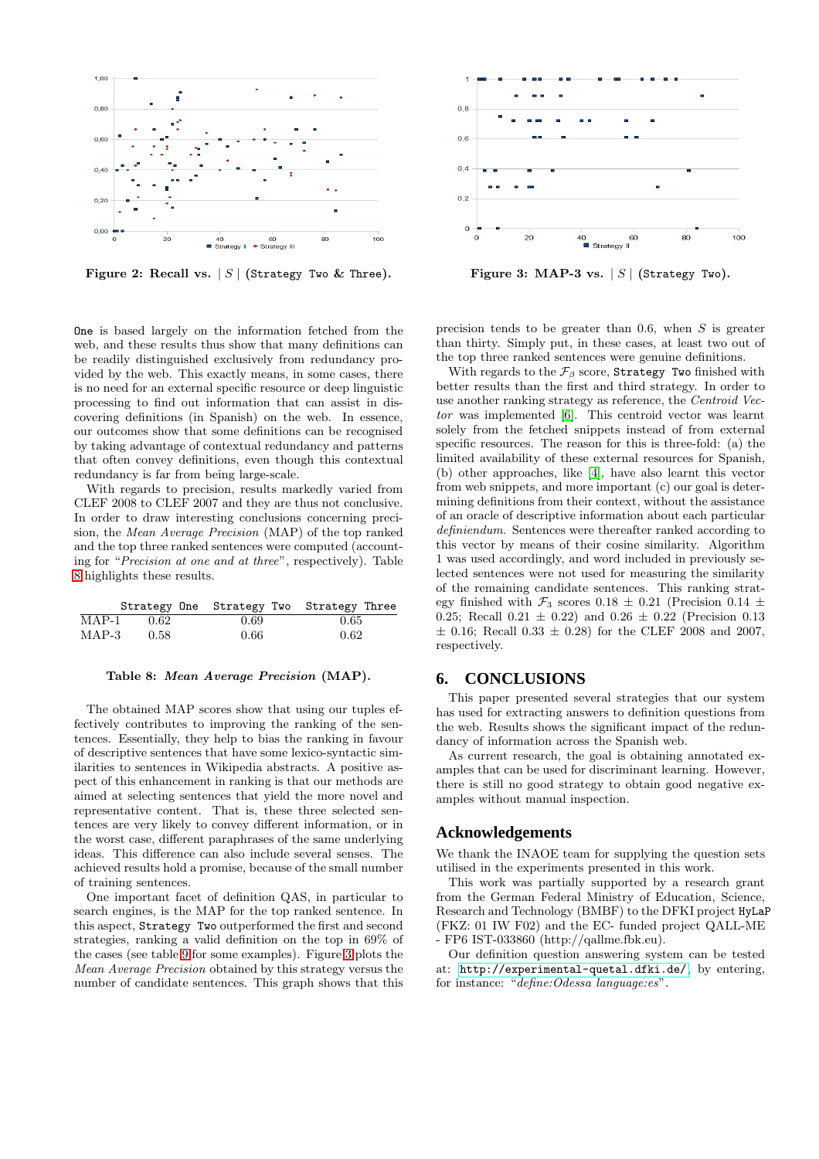

<span id="page-8-1"></span>Figure 2: Recall vs.  $|S|$  (Strategy Two & Three).

One is based largely on the information fetched from the web, and these results thus show that many definitions can be readily distinguished exclusively from redundancy provided by the web. This exactly means, in some cases, there is no need for an external specific resource or deep linguistic processing to find out information that can assist in discovering definitions (in Spanish) on the web. In essence, our outcomes show that some definitions can be recognised by taking advantage of contextual redundancy and patterns that often convey definitions, even though this contextual redundancy is far from being large-scale.

With regards to precision, results markedly varied from CLEF 2008 to CLEF 2007 and they are thus not conclusive. In order to draw interesting conclusions concerning precision, the *Mean Average Precision* (MAP) of the top ranked and the top three ranked sentences were computed (accounting for "*Precision at one and at three*", respectively). Table [8](#page-8-2) highlights these results.

|         |        |      | Strategy One Strategy Two Strategy Three |
|---------|--------|------|------------------------------------------|
| $MAP-1$ | - 0.62 | 0.69 | 0.65                                     |
| MAP-3   | 0.58   | 0.66 | 0.62                                     |

#### <span id="page-8-2"></span>Table 8: Mean Average Precision (MAP).

The obtained MAP scores show that using our tuples effectively contributes to improving the ranking of the sentences. Essentially, they help to bias the ranking in favour of descriptive sentences that have some lexico-syntactic similarities to sentences in Wikipedia abstracts. A positive aspect of this enhancement in ranking is that our methods are aimed at selecting sentences that yield the more novel and representative content. That is, these three selected sentences are very likely to convey different information, or in the worst case, different paraphrases of the same underlying ideas. This difference can also include several senses. The achieved results hold a promise, because of the small number of training sentences.

One important facet of definition QAS, in particular to search engines, is the MAP for the top ranked sentence. In this aspect, Strategy Two outperformed the first and second strategies, ranking a valid definition on the top in 69% of the cases (see table [9](#page-9-19) for some examples). Figure [3](#page-8-3) plots the *Mean Average Precision* obtained by this strategy versus the number of candidate sentences. This graph shows that this



<span id="page-8-3"></span>Figure 3: MAP-3 vs.  $|S|$  (Strategy Two).

precision tends to be greater than 0.6, when  $S$  is greater than thirty. Simply put, in these cases, at least two out of the top three ranked sentences were genuine definitions.

With regards to the  $\mathcal{F}_{\beta}$  score, Strategy Two finished with better results than the first and third strategy. In order to use another ranking strategy as reference, the *Centroid Vector* was implemented [\[6\]](#page-9-6). This centroid vector was learnt solely from the fetched snippets instead of from external specific resources. The reason for this is three-fold: (a) the limited availability of these external resources for Spanish, (b) other approaches, like [\[4\]](#page-9-10), have also learnt this vector from web snippets, and more important (c) our goal is determining definitions from their context, without the assistance of an oracle of descriptive information about each particular *definiendum*. Sentences were thereafter ranked according to this vector by means of their cosine similarity. Algorithm 1 was used accordingly, and word included in previously selected sentences were not used for measuring the similarity of the remaining candidate sentences. This ranking strategy finished with  $\mathcal{F}_3$  scores 0.18  $\pm$  0.21 (Precision 0.14  $\pm$ 0.25; Recall  $0.21 \pm 0.22$  and  $0.26 \pm 0.22$  (Precision 0.13  $\pm$  0.16; Recall 0.33  $\pm$  0.28) for the CLEF 2008 and 2007, respectively.

#### <span id="page-8-0"></span>**6. CONCLUSIONS**

This paper presented several strategies that our system has used for extracting answers to definition questions from the web. Results shows the significant impact of the redundancy of information across the Spanish web.

As current research, the goal is obtaining annotated examples that can be used for discriminant learning. However, there is still no good strategy to obtain good negative examples without manual inspection.

#### **Acknowledgements**

We thank the INAOE team for supplying the question sets utilised in the experiments presented in this work.

This work was partially supported by a research grant from the German Federal Ministry of Education, Science, Research and Technology (BMBF) to the DFKI project HyLaP (FKZ: 01 IW F02) and the EC- funded project QALL-ME - FP6 IST-033860 (http://qallme.fbk.eu).

Our definition question answering system can be tested at: <http://experimental-quetal.dfki.de/>, by entering, for instance: "*define:Odessa language:es*".